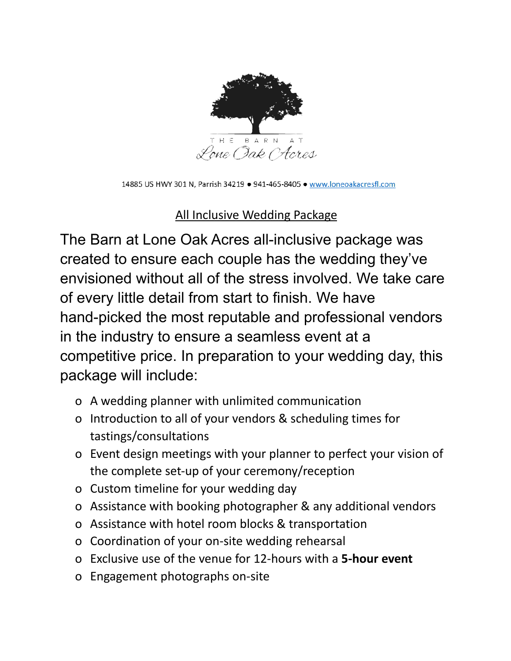

14885 US HWY 301 N, Parrish 34219 . 941-465-8405 . www.loneoakacresfl.com

#### All Inclusive Wedding Package

The Barn at Lone Oak Acres all-inclusive package was created to ensure each couple has the wedding they've envisioned without all of the stress involved. We take care of every little detail from start to finish. We have hand-picked the most reputable and professional vendors in the industry to ensure a seamless event at a competitive price. In preparation to your wedding day, this package will include:

- o A wedding planner with unlimited communication
- o Introduction to all of your vendors & scheduling times for tastings/consultations
- o Event design meetings with your planner to perfect your vision of the complete set-up of your ceremony/reception
- o Custom timeline for your wedding day
- o Assistance with booking photographer & any additional vendors
- o Assistance with hotel room blocks & transportation
- o Coordination of your on-site wedding rehearsal
- o Exclusive use of the venue for 12-hours with a **5-hour event**
- o Engagement photographs on-site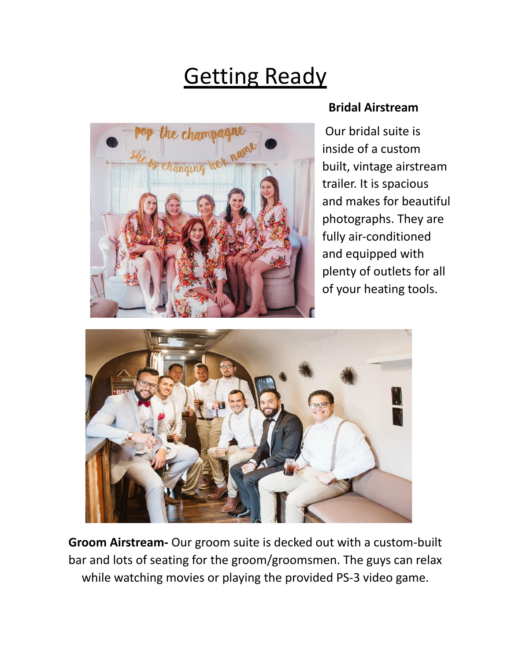## **Getting Ready**



#### **Bridal Airstream**

Our bridal suite is inside of a custom built, vintage airstream trailer. It is spacious and makes for beautiful photographs. They are fully air-conditioned and equipped with plenty of outlets for all of your heating tools.



**Groom Airstream-** Our groom suite is decked out with a custom-built bar and lots of seating for the groom/groomsmen. The guys can relax while watching movies or playing the provided PS-3 video game.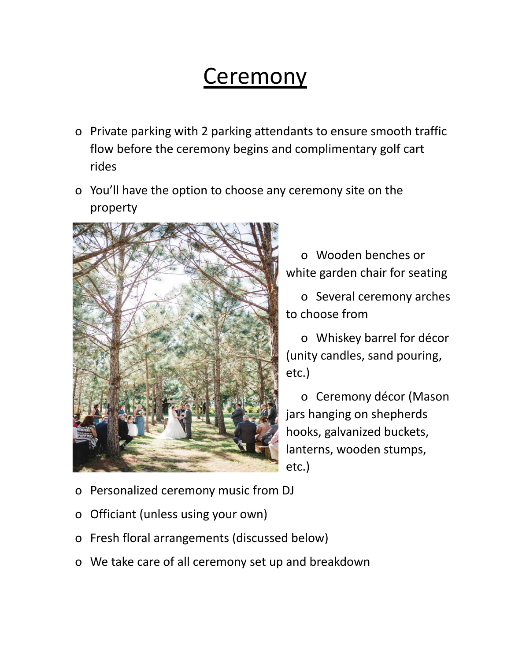#### Ceremony

- o Private parking with 2 parking attendants to ensure smooth traffic flow before the ceremony begins and complimentary golf cart rides
- o You'll have the option to choose any ceremony site on the property



o Wooden benches or white garden chair for seating

o Several ceremony arches to choose from

o Whiskey barrel for décor (unity candles, sand pouring, etc.)

o Ceremony décor (Mason jars hanging on shepherds hooks, galvanized buckets, lanterns, wooden stumps, etc.)

- o Personalized ceremony music from DJ
- o Officiant (unless using your own)
- o Fresh floral arrangements (discussed below)
- o We take care of all ceremony set up and breakdown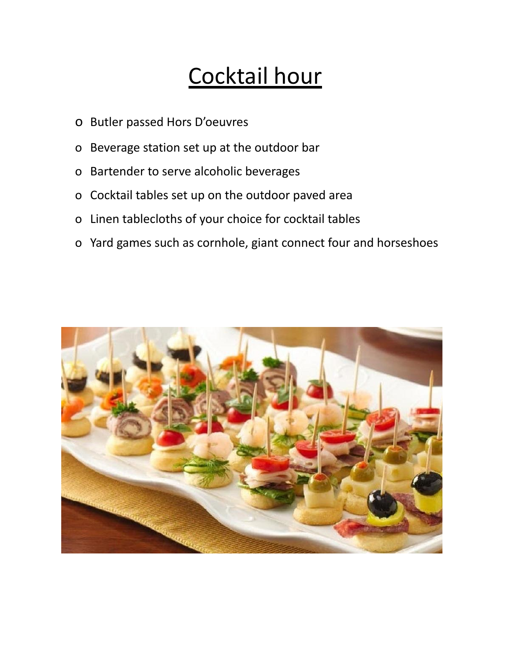## Cocktail hour

- o Butler passed Hors D'oeuvres
- o Beverage station set up at the outdoor bar
- o Bartender to serve alcoholic beverages
- o Cocktail tables set up on the outdoor paved area
- o Linen tablecloths of your choice for cocktail tables
- o Yard games such as cornhole, giant connect four and horseshoes

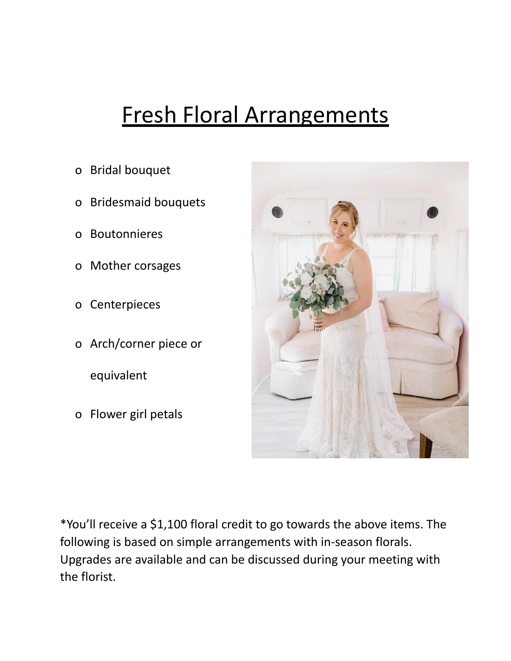### Fresh Floral Arrangements

- o Bridal bouquet
- o Bridesmaid bouquets
- o Boutonnieres
- o Mother corsages
- o Centerpieces
- o Arch/corner piece or

equivalent

o Flower girl petals



\*You'll receive a \$1,100 floral credit to go towards the above items. The following is based on simple arrangements with in-season florals. Upgrades are available and can be discussed during your meeting with the florist.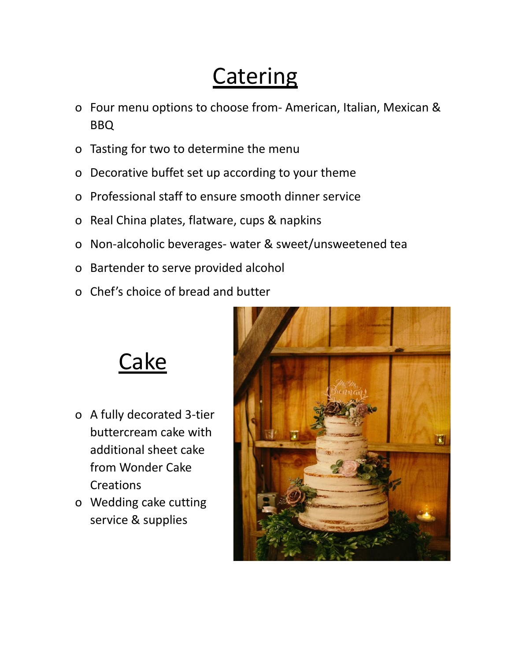## **Catering**

- o Four menu options to choose from- American, Italian, Mexican & BBQ
- o Tasting for two to determine the menu
- o Decorative buffet set up according to your theme
- o Professional staff to ensure smooth dinner service
- o Real China plates, flatware, cups & napkins
- o Non-alcoholic beverages- water & sweet/unsweetened tea
- o Bartender to serve provided alcohol
- o Chef's choice of bread and butter





- o A fully decorated 3-tier buttercream cake with additional sheet cake from Wonder Cake **Creations**
- o Wedding cake cutting service & supplies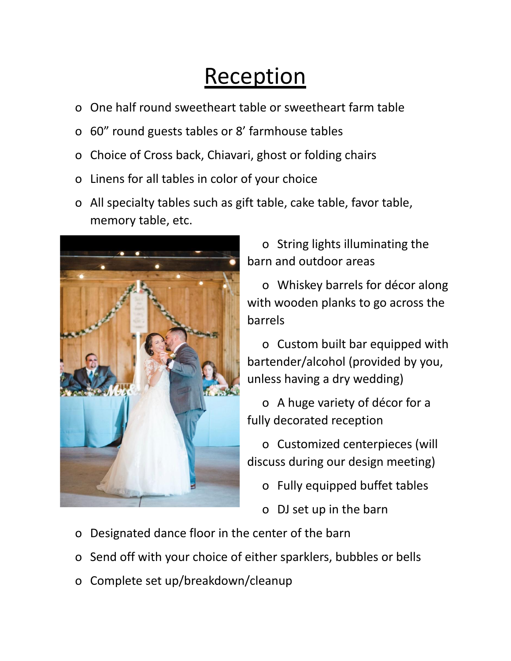### **Reception**

- o One half round sweetheart table or sweetheart farm table
- o 60" round guests tables or 8' farmhouse tables
- o Choice of Cross back, Chiavari, ghost or folding chairs
- o Linens for all tables in color of your choice
- o All specialty tables such as gift table, cake table, favor table, memory table, etc.



o String lights illuminating the barn and outdoor areas

o Whiskey barrels for décor along with wooden planks to go across the barrels

o Custom built bar equipped with bartender/alcohol (provided by you, unless having a dry wedding)

o A huge variety of décor for a fully decorated reception

o Customized centerpieces (will discuss during our design meeting)

o Fully equipped buffet tables

o DJ set up in the barn

- o Designated dance floor in the center of the barn
- o Send off with your choice of either sparklers, bubbles or bells
- o Complete set up/breakdown/cleanup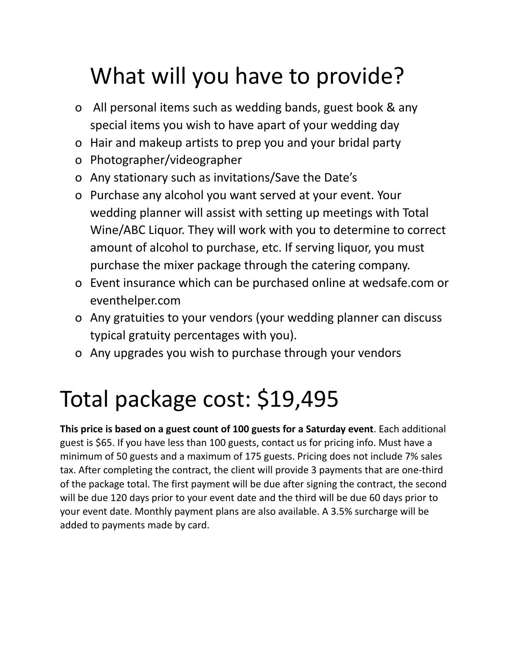# What will you have to provide?

- o All personal items such as wedding bands, guest book & any special items you wish to have apart of your wedding day
- o Hair and makeup artists to prep you and your bridal party
- o Photographer/videographer
- o Any stationary such as invitations/Save the Date's
- o Purchase any alcohol you want served at your event. Your wedding planner will assist with setting up meetings with Total Wine/ABC Liquor. They will work with you to determine to correct amount of alcohol to purchase, etc. If serving liquor, you must purchase the mixer package through the catering company.
- o Event insurance which can be purchased online at wedsafe.com or eventhelper.com
- o Any gratuities to your vendors (your wedding planner can discuss typical gratuity percentages with you).
- o Any upgrades you wish to purchase through your vendors

# Total package cost: \$19,495

**This price is based on a guest count of 100 guests for a Saturday event**. Each additional guest is \$65. If you have less than 100 guests, contact us for pricing info. Must have a minimum of 50 guests and a maximum of 175 guests. Pricing does not include 7% sales tax. After completing the contract, the client will provide 3 payments that are one-third of the package total. The first payment will be due after signing the contract, the second will be due 120 days prior to your event date and the third will be due 60 days prior to your event date. Monthly payment plans are also available. A 3.5% surcharge will be added to payments made by card.